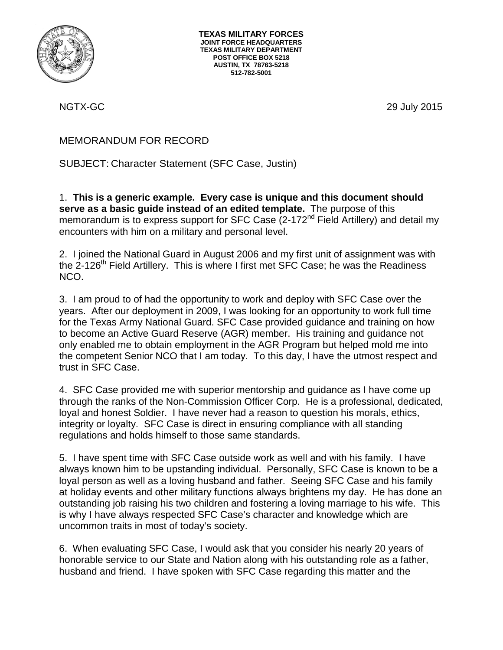

NGTX-GC 29 July 2015

## MEMORANDUM FOR RECORD

SUBJECT: Character Statement (SFC Case, Justin)

1. **This is a generic example. Every case is unique and this document should serve as a basic guide instead of an edited template.** The purpose of this memorandum is to express support for SFC Case  $(2-172)^{nd}$  Field Artillery) and detail my encounters with him on a military and personal level.

2. I joined the National Guard in August 2006 and my first unit of assignment was with the 2-126<sup>th</sup> Field Artillery. This is where I first met SFC Case; he was the Readiness NCO.

3. I am proud to of had the opportunity to work and deploy with SFC Case over the years. After our deployment in 2009, I was looking for an opportunity to work full time for the Texas Army National Guard. SFC Case provided guidance and training on how to become an Active Guard Reserve (AGR) member. His training and guidance not only enabled me to obtain employment in the AGR Program but helped mold me into the competent Senior NCO that I am today. To this day, I have the utmost respect and trust in SFC Case.

4. SFC Case provided me with superior mentorship and guidance as I have come up through the ranks of the Non-Commission Officer Corp. He is a professional, dedicated, loyal and honest Soldier. I have never had a reason to question his morals, ethics, integrity or loyalty. SFC Case is direct in ensuring compliance with all standing regulations and holds himself to those same standards.

5. I have spent time with SFC Case outside work as well and with his family. I have always known him to be upstanding individual. Personally, SFC Case is known to be a loyal person as well as a loving husband and father. Seeing SFC Case and his family at holiday events and other military functions always brightens my day. He has done an outstanding job raising his two children and fostering a loving marriage to his wife. This is why I have always respected SFC Case's character and knowledge which are uncommon traits in most of today's society.

6. When evaluating SFC Case, I would ask that you consider his nearly 20 years of honorable service to our State and Nation along with his outstanding role as a father, husband and friend. I have spoken with SFC Case regarding this matter and the